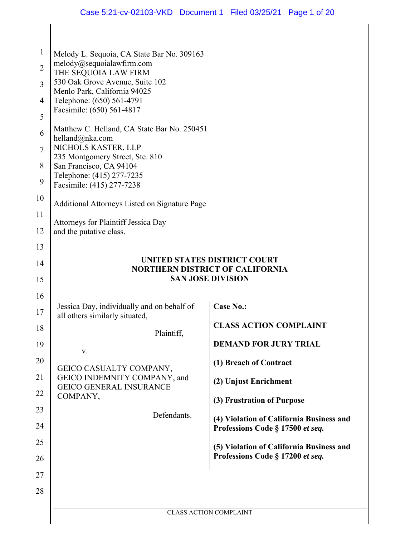| $\mathbf{1}$   | Melody L. Sequoia, CA State Bar No. 309163                      |                                                                        |
|----------------|-----------------------------------------------------------------|------------------------------------------------------------------------|
| $\overline{2}$ | melody@sequoialawfirm.com<br>THE SEQUOIA LAW FIRM               |                                                                        |
| $\overline{3}$ | 530 Oak Grove Avenue, Suite 102<br>Menlo Park, California 94025 |                                                                        |
| $\overline{4}$ | Telephone: (650) 561-4791                                       |                                                                        |
| 5              | Facsimile: (650) 561-4817                                       |                                                                        |
| 6              | Matthew C. Helland, CA State Bar No. 250451<br>helland@nka.com  |                                                                        |
| $\overline{7}$ | NICHOLS KASTER, LLP<br>235 Montgomery Street, Ste. 810          |                                                                        |
| 8              | San Francisco, CA 94104                                         |                                                                        |
| 9              | Telephone: (415) 277-7235<br>Facsimile: (415) 277-7238          |                                                                        |
| 10             | Additional Attorneys Listed on Signature Page                   |                                                                        |
| 11             | Attorneys for Plaintiff Jessica Day                             |                                                                        |
| 12             | and the putative class.                                         |                                                                        |
| 13             |                                                                 |                                                                        |
| 14             |                                                                 | UNITED STATES DISTRICT COURT<br><b>NORTHERN DISTRICT OF CALIFORNIA</b> |
| 15             |                                                                 | <b>SAN JOSE DIVISION</b>                                               |
| 16             | Jessica Day, individually and on behalf of                      | <b>Case No.:</b>                                                       |
| 17             | all others similarly situated,                                  |                                                                        |
| 18             | Plaintiff,                                                      | <b>CLASS ACTION COMPLAINT</b>                                          |
| 19             | V.                                                              | <b>DEMAND FOR JURY TRIAL</b>                                           |
| 20             | GEICO CASUALTY COMPANY,                                         | (1) Breach of Contract                                                 |
| 21             | GEICO INDEMNITY COMPANY, and<br><b>GEICO GENERAL INSURANCE</b>  | (2) Unjust Enrichment                                                  |
| 22             | COMPANY,                                                        | (3) Frustration of Purpose                                             |
| 23             | Defendants.                                                     | (4) Violation of California Business and                               |
| 24             |                                                                 | Professions Code § 17500 et seq.                                       |
| 25             |                                                                 | (5) Violation of California Business and                               |
| 26             |                                                                 | Professions Code § 17200 et seq.                                       |
| 27             |                                                                 |                                                                        |
| 28             |                                                                 |                                                                        |
|                |                                                                 | CLASS ACTION COMPLAINT                                                 |

 $\mathsf{l}$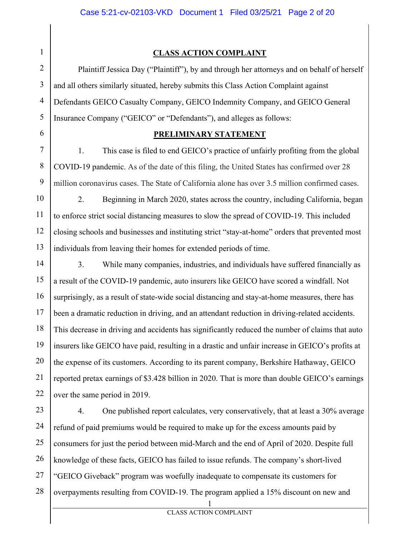1

6

### **CLASS ACTION COMPLAINT**

2 3 4 5 Plaintiff Jessica Day ("Plaintiff"), by and through her attorneys and on behalf of herself and all others similarly situated, hereby submits this Class Action Complaint against Defendants GEICO Casualty Company, GEICO Indemnity Company, and GEICO General Insurance Company ("GEICO" or "Defendants"), and alleges as follows:

### **PRELIMINARY STATEMENT**

7 8 9 1. This case is filed to end GEICO's practice of unfairly profiting from the global COVID-19 pandemic. As of the date of this filing, the United States has confirmed over 28 million coronavirus cases. The State of California alone has over 3.5 million confirmed cases.

10 11 12 13 2. Beginning in March 2020, states across the country, including California, began to enforce strict social distancing measures to slow the spread of COVID-19. This included closing schools and businesses and instituting strict "stay-at-home" orders that prevented most individuals from leaving their homes for extended periods of time.

14 15 16 17 18 19 20 21 22 3. While many companies, industries, and individuals have suffered financially as a result of the COVID-19 pandemic, auto insurers like GEICO have scored a windfall. Not surprisingly, as a result of state-wide social distancing and stay-at-home measures, there has been a dramatic reduction in driving, and an attendant reduction in driving-related accidents. This decrease in driving and accidents has significantly reduced the number of claims that auto insurers like GEICO have paid, resulting in a drastic and unfair increase in GEICO's profits at the expense of its customers. According to its parent company, Berkshire Hathaway, GEICO reported pretax earnings of \$3.428 billion in 2020. That is more than double GEICO's earnings over the same period in 2019.

23 24 25 26 27 28 4. One published report calculates, very conservatively, that at least a 30% average refund of paid premiums would be required to make up for the excess amounts paid by consumers for just the period between mid-March and the end of April of 2020. Despite full knowledge of these facts, GEICO has failed to issue refunds. The company's short-lived "GEICO Giveback" program was woefully inadequate to compensate its customers for overpayments resulting from COVID-19. The program applied a 15% discount on new and

1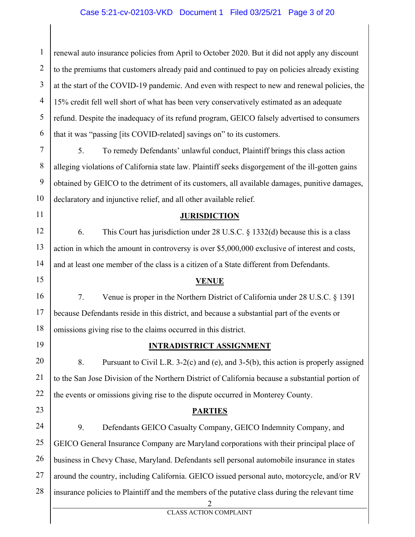### Case 5:21-cv-02103-VKD Document 1 Filed 03/25/21 Page 3 of 20

1 2 3 4 5 6 renewal auto insurance policies from April to October 2020. But it did not apply any discount to the premiums that customers already paid and continued to pay on policies already existing at the start of the COVID-19 pandemic. And even with respect to new and renewal policies, the 15% credit fell well short of what has been very conservatively estimated as an adequate refund. Despite the inadequacy of its refund program, GEICO falsely advertised to consumers that it was "passing [its COVID-related] savings on" to its customers.

7 8 9 10 5. To remedy Defendants' unlawful conduct, Plaintiff brings this class action alleging violations of California state law. Plaintiff seeks disgorgement of the ill-gotten gains obtained by GEICO to the detriment of its customers, all available damages, punitive damages, declaratory and injunctive relief, and all other available relief.

### **JURISDICTION**

12 13 14 6. This Court has jurisdiction under 28 U.S.C. § 1332(d) because this is a class action in which the amount in controversy is over \$5,000,000 exclusive of interest and costs, and at least one member of the class is a citizen of a State different from Defendants.

15

11

### **VENUE**

16 17 18 7. Venue is proper in the Northern District of California under 28 U.S.C. § 1391 because Defendants reside in this district, and because a substantial part of the events or omissions giving rise to the claims occurred in this district.

19

### **INTRADISTRICT ASSIGNMENT**

20 21 22 8. Pursuant to Civil L.R. 3-2(c) and (e), and 3-5(b), this action is properly assigned to the San Jose Division of the Northern District of California because a substantial portion of the events or omissions giving rise to the dispute occurred in Monterey County.

23

### **PARTIES**

24 25 26 27 28 9. Defendants GEICO Casualty Company, GEICO Indemnity Company, and GEICO General Insurance Company are Maryland corporations with their principal place of business in Chevy Chase, Maryland. Defendants sell personal automobile insurance in states around the country, including California. GEICO issued personal auto, motorcycle, and/or RV insurance policies to Plaintiff and the members of the putative class during the relevant time

2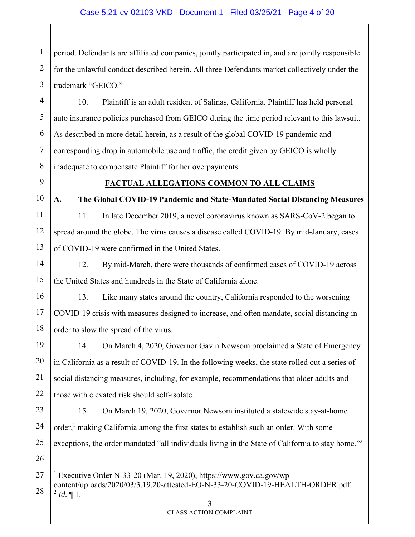### Case 5:21-cv-02103-VKD Document 1 Filed 03/25/21 Page 4 of 20

1 2 3 period. Defendants are affiliated companies, jointly participated in, and are jointly responsible for the unlawful conduct described herein. All three Defendants market collectively under the trademark "GEICO."

4 5 6 7 8 10. Plaintiff is an adult resident of Salinas, California. Plaintiff has held personal auto insurance policies purchased from GEICO during the time period relevant to this lawsuit. As described in more detail herein, as a result of the global COVID-19 pandemic and corresponding drop in automobile use and traffic, the credit given by GEICO is wholly inadequate to compensate Plaintiff for her overpayments.

9

### **FACTUAL ALLEGATIONS COMMON TO ALL CLAIMS**

10 11

12

13

**A. The Global COVID-19 Pandemic and State-Mandated Social Distancing Measures**  11. In late December 2019, a novel coronavirus known as SARS-CoV-2 began to spread around the globe. The virus causes a disease called COVID-19. By mid-January, cases of COVID-19 were confirmed in the United States.

14 15 12. By mid-March, there were thousands of confirmed cases of COVID-19 across the United States and hundreds in the State of California alone.

16 17 18 13. Like many states around the country, California responded to the worsening COVID-19 crisis with measures designed to increase, and often mandate, social distancing in order to slow the spread of the virus.

19 20 21 22 14. On March 4, 2020, Governor Gavin Newsom proclaimed a State of Emergency in California as a result of COVID-19. In the following weeks, the state rolled out a series of social distancing measures, including, for example, recommendations that older adults and those with elevated risk should self-isolate.

23 24 25 15. On March 19, 2020, Governor Newsom instituted a statewide stay-at-home order,<sup>1</sup> making California among the first states to establish such an order. With some exceptions, the order mandated "all individuals living in the State of California to stay home."<sup>2</sup>

26

<sup>27</sup>  <sup>1</sup> Executive Order N-33-20 (Mar. 19, 2020), https://www.gov.ca.gov/wp-

<sup>28</sup>  content/uploads/2020/03/3.19.20-attested-EO-N-33-20-COVID-19-HEALTH-ORDER.pdf.  $^{2}$  *Id.*  $\llbracket$  1.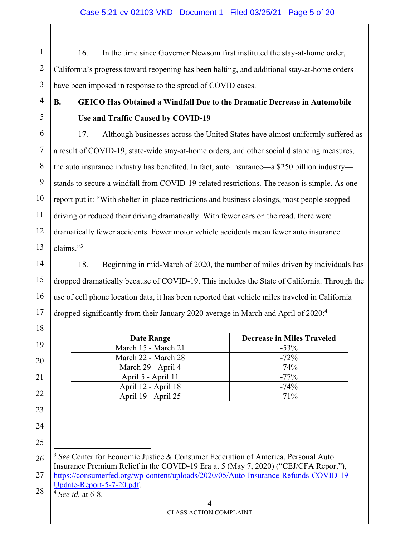### Case 5:21-cv-02103-VKD Document 1 Filed 03/25/21 Page 5 of 20

1 2 3 16. In the time since Governor Newsom first instituted the stay-at-home order, California's progress toward reopening has been halting, and additional stay-at-home orders have been imposed in response to the spread of COVID cases.

4

5

18

19

20

21

22

23

24

25

## **B. GEICO Has Obtained a Windfall Due to the Dramatic Decrease in Automobile Use and Traffic Caused by COVID-19**

6 7 8 9 10 11 12 13 17. Although businesses across the United States have almost uniformly suffered as a result of COVID-19, state-wide stay-at-home orders, and other social distancing measures, the auto insurance industry has benefited. In fact, auto insurance—a \$250 billion industry stands to secure a windfall from COVID-19-related restrictions. The reason is simple. As one report put it: "With shelter-in-place restrictions and business closings, most people stopped driving or reduced their driving dramatically. With fewer cars on the road, there were dramatically fewer accidents. Fewer motor vehicle accidents mean fewer auto insurance claims."3

#### 14 15 16 17 18. Beginning in mid-March of 2020, the number of miles driven by individuals has dropped dramatically because of COVID-19. This includes the State of California. Through the use of cell phone location data, it has been reported that vehicle miles traveled in California dropped significantly from their January 2020 average in March and April of 2020:<sup>4</sup>

| Date Range          | <b>Decrease in Miles Traveled</b> |
|---------------------|-----------------------------------|
| March 15 - March 21 | $-53\%$                           |
| March 22 - March 28 | $-72%$                            |
| March 29 - April 4  | $-74%$                            |
| April 5 - April 11  | $-77%$                            |
| April 12 - April 18 | $-74%$                            |
| April 19 - April 25 | $-71\%$                           |

26 27 <sup>3</sup> *See* Center for Economic Justice & Consumer Federation of America, Personal Auto Insurance Premium Relief in the COVID-19 Era at 5 (May 7, 2020) ("CEJ/CFA Report"), https://consumerfed.org/wp-content/uploads/2020/05/Auto-Insurance-Refunds-COVID-19-

28 Update-Report-5-7-20.pdf. 4 *See id.* at 6-8.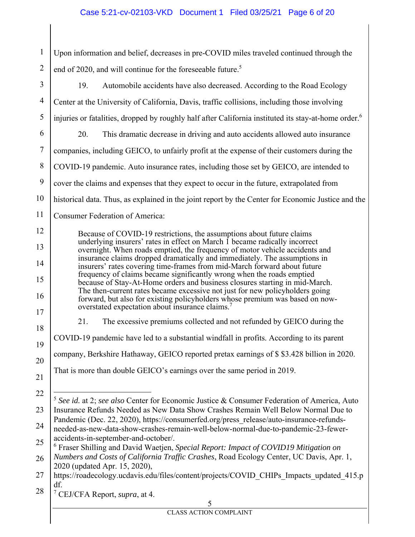### Case 5:21-cv-02103-VKD Document 1 Filed 03/25/21 Page 6 of 20

1 2 Upon information and belief, decreases in pre-COVID miles traveled continued through the end of 2020, and will continue for the foreseeable future.<sup>5</sup>

5 3 4 5 6 7 8 9 10 11 12 13 14 15 16 17 18 19 20 21 22 23 24 25 26 27 28 19. Automobile accidents have also decreased. According to the Road Ecology Center at the University of California, Davis, traffic collisions, including those involving injuries or fatalities, dropped by roughly half after California instituted its stay-at-home order.<sup>6</sup> 20. This dramatic decrease in driving and auto accidents allowed auto insurance companies, including GEICO, to unfairly profit at the expense of their customers during the COVID-19 pandemic. Auto insurance rates, including those set by GEICO, are intended to cover the claims and expenses that they expect to occur in the future, extrapolated from historical data. Thus, as explained in the joint report by the Center for Economic Justice and the Consumer Federation of America: Because of COVID-19 restrictions, the assumptions about future claims underlying insurers' rates in effect on March 1 became radically incorrect overnight. When roads emptied, the frequency of motor vehicle accidents and insurance claims dropped dramatically and immediately. The assumptions in insurers' rates covering time-frames from mid-March forward about future frequency of claims became significantly wrong when the roads emptied because of Stay-At-Home orders and business closures starting in mid-March. The then-current rates became excessive not just for new policyholders going forward, but also for existing policyholders whose premium was based on nowoverstated expectation about insurance claims.7 21. The excessive premiums collected and not refunded by GEICO during the COVID-19 pandemic have led to a substantial windfall in profits. According to its parent company, Berkshire Hathaway, GEICO reported pretax earnings of \$ \$3.428 billion in 2020. That is more than double GEICO's earnings over the same period in 2019. <sup>5</sup> *See id.* at 2; *see also* Center for Economic Justice & Consumer Federation of America, Auto Insurance Refunds Needed as New Data Show Crashes Remain Well Below Normal Due to Pandemic (Dec. 22, 2020), https://consumerfed.org/press\_release/auto-insurance-refundsneeded-as-new-data-show-crashes-remain-well-below-normal-due-to-pandemic-23-feweraccidents-in-september-and-october/. 6 Fraser Shilling and David Waetjen, *Special Report: Impact of COVID19 Mitigation on Numbers and Costs of California Traffic Crashes*, Road Ecology Center, UC Davis, Apr. 1, 2020 (updated Apr. 15, 2020), https://roadecology.ucdavis.edu/files/content/projects/COVID CHIPs Impacts updated 415.p df. 7 CEJ/CFA Report, *supra*, at 4.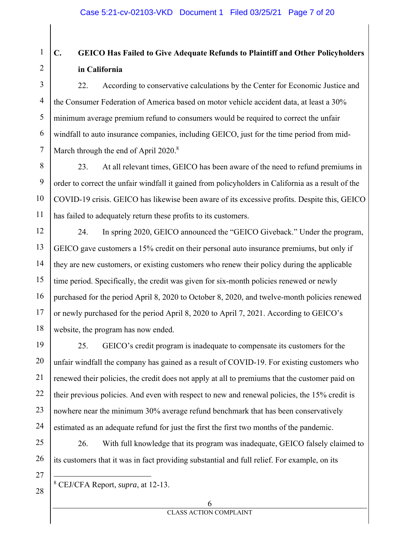#### 1 2 **C. GEICO Has Failed to Give Adequate Refunds to Plaintiff and Other Policyholders in California**

3 4 5 6 7 22. According to conservative calculations by the Center for Economic Justice and the Consumer Federation of America based on motor vehicle accident data, at least a 30% minimum average premium refund to consumers would be required to correct the unfair windfall to auto insurance companies, including GEICO, just for the time period from mid-March through the end of April  $2020$ .<sup>8</sup>

8 9 10 11 23. At all relevant times, GEICO has been aware of the need to refund premiums in order to correct the unfair windfall it gained from policyholders in California as a result of the COVID-19 crisis. GEICO has likewise been aware of its excessive profits. Despite this, GEICO has failed to adequately return these profits to its customers.

12 13 14 15 16 17 18 24. In spring 2020, GEICO announced the "GEICO Giveback." Under the program, GEICO gave customers a 15% credit on their personal auto insurance premiums, but only if they are new customers, or existing customers who renew their policy during the applicable time period. Specifically, the credit was given for six-month policies renewed or newly purchased for the period April 8, 2020 to October 8, 2020, and twelve-month policies renewed or newly purchased for the period April 8, 2020 to April 7, 2021. According to GEICO's website, the program has now ended.

19 20 21 22 23 24 25. GEICO's credit program is inadequate to compensate its customers for the unfair windfall the company has gained as a result of COVID-19. For existing customers who renewed their policies, the credit does not apply at all to premiums that the customer paid on their previous policies. And even with respect to new and renewal policies, the 15% credit is nowhere near the minimum 30% average refund benchmark that has been conservatively estimated as an adequate refund for just the first the first two months of the pandemic.

25 26 26. With full knowledge that its program was inadequate, GEICO falsely claimed to its customers that it was in fact providing substantial and full relief. For example, on its

27

28

8 CEJ/CFA Report, *supra*, at 12-13.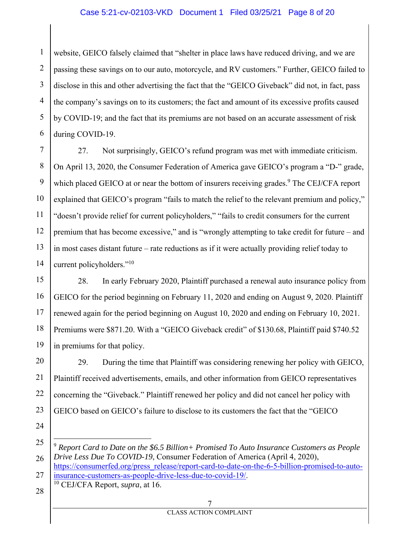### Case 5:21-cv-02103-VKD Document 1 Filed 03/25/21 Page 8 of 20

1 2 3 4 5 6 website, GEICO falsely claimed that "shelter in place laws have reduced driving, and we are passing these savings on to our auto, motorcycle, and RV customers." Further, GEICO failed to disclose in this and other advertising the fact that the "GEICO Giveback" did not, in fact, pass the company's savings on to its customers; the fact and amount of its excessive profits caused by COVID-19; and the fact that its premiums are not based on an accurate assessment of risk during COVID-19.

7 8 9 10 11 12 13 14 27. Not surprisingly, GEICO's refund program was met with immediate criticism. On April 13, 2020, the Consumer Federation of America gave GEICO's program a "D-" grade, which placed GEICO at or near the bottom of insurers receiving grades.<sup>9</sup> The CEJ/CFA report explained that GEICO's program "fails to match the relief to the relevant premium and policy," "doesn't provide relief for current policyholders," "fails to credit consumers for the current premium that has become excessive," and is "wrongly attempting to take credit for future – and in most cases distant future – rate reductions as if it were actually providing relief today to current policyholders."10

15 16 17 18 19 28. In early February 2020, Plaintiff purchased a renewal auto insurance policy from GEICO for the period beginning on February 11, 2020 and ending on August 9, 2020. Plaintiff renewed again for the period beginning on August 10, 2020 and ending on February 10, 2021. Premiums were \$871.20. With a "GEICO Giveback credit" of \$130.68, Plaintiff paid \$740.52 in premiums for that policy.

20 21 22 23 29. During the time that Plaintiff was considering renewing her policy with GEICO, Plaintiff received advertisements, emails, and other information from GEICO representatives concerning the "Giveback." Plaintiff renewed her policy and did not cancel her policy with GEICO based on GEICO's failure to disclose to its customers the fact that the "GEICO

24

insurance-customers-as-people-drive-less-due-to-covid-19/. 10 CEJ/CFA Report, *supra*, at 16.

<sup>25</sup>  26 27 <sup>9</sup> *Report Card to Date on the \$6.5 Billion+ Promised To Auto Insurance Customers as People Drive Less Due To COVID-19*, Consumer Federation of America (April 4, 2020), https://consumerfed.org/press\_release/report-card-to-date-on-the-6-5-billion-promised-to-auto-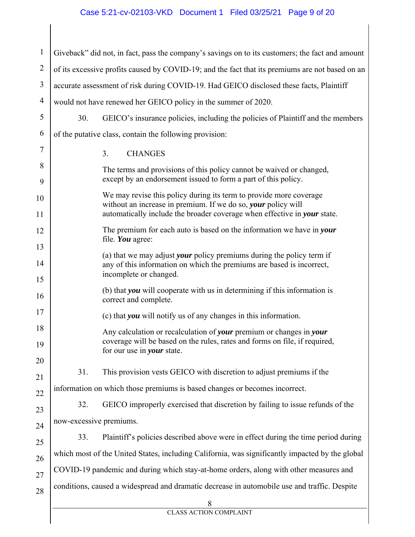# Case 5:21-cv-02103-VKD Document 1 Filed 03/25/21 Page 9 of 20

| $\mathbf{1}$   |                                                                                                 | Giveback" did not, in fact, pass the company's savings on to its customers; the fact and amount                                                                                        |  |  |  |  |  |
|----------------|-------------------------------------------------------------------------------------------------|----------------------------------------------------------------------------------------------------------------------------------------------------------------------------------------|--|--|--|--|--|
| $\overline{2}$ | of its excessive profits caused by COVID-19; and the fact that its premiums are not based on an |                                                                                                                                                                                        |  |  |  |  |  |
| 3              | accurate assessment of risk during COVID-19. Had GEICO disclosed these facts, Plaintiff         |                                                                                                                                                                                        |  |  |  |  |  |
| 4              |                                                                                                 | would not have renewed her GEICO policy in the summer of 2020.                                                                                                                         |  |  |  |  |  |
| 5              | 30.                                                                                             | GEICO's insurance policies, including the policies of Plaintiff and the members                                                                                                        |  |  |  |  |  |
| 6              |                                                                                                 | of the putative class, contain the following provision:                                                                                                                                |  |  |  |  |  |
| 7              |                                                                                                 | 3.<br><b>CHANGES</b>                                                                                                                                                                   |  |  |  |  |  |
| 8<br>9         |                                                                                                 | The terms and provisions of this policy cannot be waived or changed,<br>except by an endorsement issued to form a part of this policy.                                                 |  |  |  |  |  |
| 10             |                                                                                                 | We may revise this policy during its term to provide more coverage<br>without an increase in premium. If we do so, your policy will                                                    |  |  |  |  |  |
| 11             |                                                                                                 | automatically include the broader coverage when effective in your state.                                                                                                               |  |  |  |  |  |
| 12<br>13       |                                                                                                 | The premium for each auto is based on the information we have in your<br>file. You agree:                                                                                              |  |  |  |  |  |
| 14<br>15       |                                                                                                 | (a) that we may adjust <i>your</i> policy premiums during the policy term if<br>any of this information on which the premiums are based is incorrect,<br>incomplete or changed.        |  |  |  |  |  |
| 16             |                                                                                                 | (b) that <b><i>you</i></b> will cooperate with us in determining if this information is<br>correct and complete.                                                                       |  |  |  |  |  |
| 17             |                                                                                                 | (c) that you will notify us of any changes in this information.                                                                                                                        |  |  |  |  |  |
| 18<br>19       |                                                                                                 | Any calculation or recalculation of your premium or changes in your<br>coverage will be based on the rules, rates and forms on file, if required,<br>for our use in <i>your</i> state. |  |  |  |  |  |
| 20<br>21       | 31.                                                                                             | This provision vests GEICO with discretion to adjust premiums if the                                                                                                                   |  |  |  |  |  |
| 22             |                                                                                                 | information on which those premiums is based changes or becomes incorrect.                                                                                                             |  |  |  |  |  |
| 23             | 32.                                                                                             | GEICO improperly exercised that discretion by failing to issue refunds of the                                                                                                          |  |  |  |  |  |
| 24             | now-excessive premiums.                                                                         |                                                                                                                                                                                        |  |  |  |  |  |
| 25             | 33.                                                                                             | Plaintiff's policies described above were in effect during the time period during                                                                                                      |  |  |  |  |  |
| 26             | which most of the United States, including California, was significantly impacted by the global |                                                                                                                                                                                        |  |  |  |  |  |
| 27             |                                                                                                 | COVID-19 pandemic and during which stay-at-home orders, along with other measures and                                                                                                  |  |  |  |  |  |
| 28             |                                                                                                 | conditions, caused a widespread and dramatic decrease in automobile use and traffic. Despite                                                                                           |  |  |  |  |  |
|                |                                                                                                 | 8<br><b>CLASS ACTION COMPLAINT</b>                                                                                                                                                     |  |  |  |  |  |
|                |                                                                                                 |                                                                                                                                                                                        |  |  |  |  |  |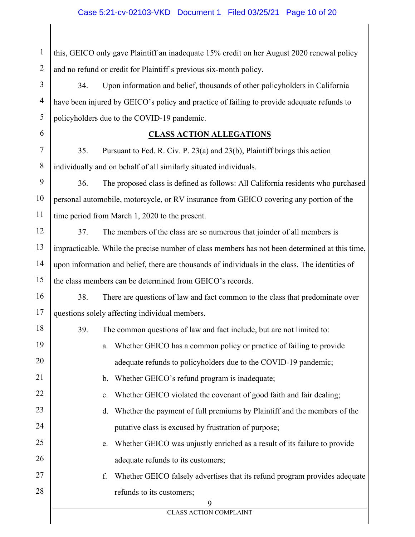### Case 5:21-cv-02103-VKD Document 1 Filed 03/25/21 Page 10 of 20

1 2 this, GEICO only gave Plaintiff an inadequate 15% credit on her August 2020 renewal policy and no refund or credit for Plaintiff's previous six-month policy.

3 4 5 34. Upon information and belief, thousands of other policyholders in California have been injured by GEICO's policy and practice of failing to provide adequate refunds to policyholders due to the COVID-19 pandemic.

### **CLASS ACTION ALLEGATIONS**

7 8 35. Pursuant to Fed. R. Civ. P. 23(a) and 23(b), Plaintiff brings this action individually and on behalf of all similarly situated individuals.

6

 $1<sub>0</sub>$ 

9 10 11 36. The proposed class is defined as follows: All California residents who purchased personal automobile, motorcycle, or RV insurance from GEICO covering any portion of the time period from March 1, 2020 to the present.

12 13 14 15 37. The members of the class are so numerous that joinder of all members is impracticable. While the precise number of class members has not been determined at this time, upon information and belief, there are thousands of individuals in the class. The identities of the class members can be determined from GEICO's records.

16 17 38. There are questions of law and fact common to the class that predominate over questions solely affecting individual members.

| 18 | 39.<br>The common questions of law and fact include, but are not limited to:     |
|----|----------------------------------------------------------------------------------|
| 19 | a. Whether GEICO has a common policy or practice of failing to provide           |
| 20 | adequate refunds to policyholders due to the COVID-19 pandemic;                  |
| 21 | b. Whether GEICO's refund program is inadequate;                                 |
| 22 | c. Whether GEICO violated the covenant of good faith and fair dealing;           |
| 23 | d. Whether the payment of full premiums by Plaintiff and the members of the      |
| 24 | putative class is excused by frustration of purpose;                             |
| 25 | e. Whether GEICO was unjustly enriched as a result of its failure to provide     |
| 26 | adequate refunds to its customers;                                               |
| 27 | Whether GEICO falsely advertises that its refund program provides adequate<br>f. |
| 28 | refunds to its customers;                                                        |
|    | 9                                                                                |
|    | <b>CLASS ACTION COMPLAINT</b>                                                    |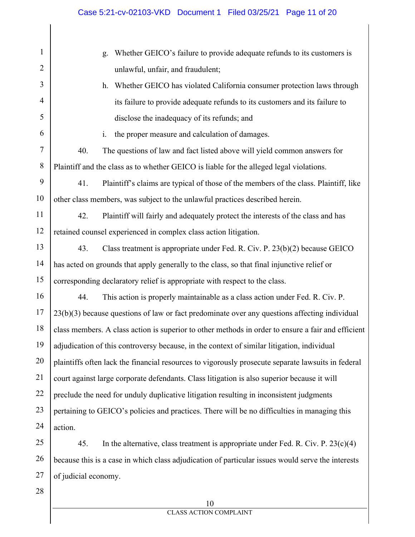| 1      | Whether GEICO's failure to provide adequate refunds to its customers is<br>g.                      |
|--------|----------------------------------------------------------------------------------------------------|
| 2      | unlawful, unfair, and fraudulent;                                                                  |
| 3      | Whether GEICO has violated California consumer protection laws through<br>h.                       |
| 4      | its failure to provide adequate refunds to its customers and its failure to                        |
| 5      | disclose the inadequacy of its refunds; and                                                        |
| 6      | the proper measure and calculation of damages.<br>i.                                               |
| $\tau$ | 40.<br>The questions of law and fact listed above will yield common answers for                    |
| 8      | Plaintiff and the class as to whether GEICO is liable for the alleged legal violations.            |
| 9      | 41.<br>Plaintiff's claims are typical of those of the members of the class. Plaintiff, like        |
| 10     | other class members, was subject to the unlawful practices described herein.                       |
| 11     | 42.<br>Plaintiff will fairly and adequately protect the interests of the class and has             |
| 12     | retained counsel experienced in complex class action litigation.                                   |
| 13     | 43.<br>Class treatment is appropriate under Fed. R. Civ. P. 23(b)(2) because GEICO                 |
| 14     | has acted on grounds that apply generally to the class, so that final injunctive relief or         |
| 15     | corresponding declaratory relief is appropriate with respect to the class.                         |
| 16     | 44.<br>This action is properly maintainable as a class action under Fed. R. Civ. P.                |
| 17     | 23(b)(3) because questions of law or fact predominate over any questions affecting individual      |
| 18     | class members. A class action is superior to other methods in order to ensure a fair and efficient |
| 19     | adjudication of this controversy because, in the context of similar litigation, individual         |
| 20     | plaintiffs often lack the financial resources to vigorously prosecute separate lawsuits in federal |
| 21     | court against large corporate defendants. Class litigation is also superior because it will        |
| 22     | preclude the need for unduly duplicative litigation resulting in inconsistent judgments            |
| 23     | pertaining to GEICO's policies and practices. There will be no difficulties in managing this       |
| 24     | action.                                                                                            |
| 25     | 45.<br>In the alternative, class treatment is appropriate under Fed. R. Civ. P. $23(c)(4)$         |
| 26     | because this is a case in which class adjudication of particular issues would serve the interests  |
| 27     | of judicial economy.                                                                               |
| 28     |                                                                                                    |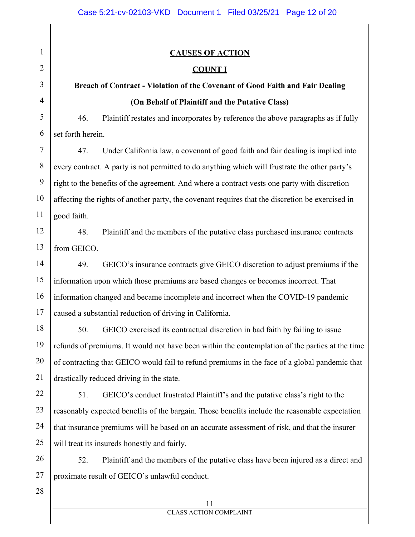| 1              | <b>CAUSES OF ACTION</b>                                                                          |
|----------------|--------------------------------------------------------------------------------------------------|
| $\overline{2}$ | <b>COUNT I</b>                                                                                   |
| 3              | Breach of Contract - Violation of the Covenant of Good Faith and Fair Dealing                    |
| $\overline{4}$ | (On Behalf of Plaintiff and the Putative Class)                                                  |
| 5              | 46.<br>Plaintiff restates and incorporates by reference the above paragraphs as if fully         |
| 6              | set forth herein.                                                                                |
| 7              | 47.<br>Under California law, a covenant of good faith and fair dealing is implied into           |
| 8              | every contract. A party is not permitted to do anything which will frustrate the other party's   |
| 9              | right to the benefits of the agreement. And where a contract vests one party with discretion     |
| 10             | affecting the rights of another party, the covenant requires that the discretion be exercised in |
| 11             | good faith.                                                                                      |
| 12             | Plaintiff and the members of the putative class purchased insurance contracts<br>48.             |
| 13             | from GEICO.                                                                                      |
| 14             | GEICO's insurance contracts give GEICO discretion to adjust premiums if the<br>49.               |
| 15             | information upon which those premiums are based changes or becomes incorrect. That               |
| 16             | information changed and became incomplete and incorrect when the COVID-19 pandemic               |
| 17             | caused a substantial reduction of driving in California.                                         |
| 18             | 50.<br>GEICO exercised its contractual discretion in bad faith by failing to issue               |
| 19             | refunds of premiums. It would not have been within the contemplation of the parties at the time  |
| 20             | of contracting that GEICO would fail to refund premiums in the face of a global pandemic that    |
| 21             | drastically reduced driving in the state.                                                        |
| 22             | GEICO's conduct frustrated Plaintiff's and the putative class's right to the<br>51.              |
| 23             | reasonably expected benefits of the bargain. Those benefits include the reasonable expectation   |
| 24             | that insurance premiums will be based on an accurate assessment of risk, and that the insurer    |
| 25             | will treat its insureds honestly and fairly.                                                     |
| 26             | 52.<br>Plaintiff and the members of the putative class have been injured as a direct and         |
| 27             | proximate result of GEICO's unlawful conduct.                                                    |
| 28             |                                                                                                  |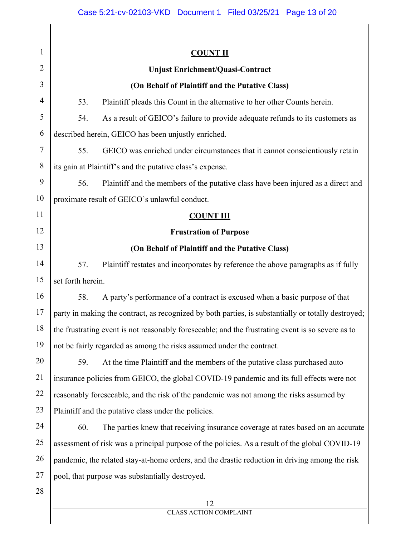| 1              | <b>COUNT II</b>                                                                                     |  |  |  |
|----------------|-----------------------------------------------------------------------------------------------------|--|--|--|
| $\overline{2}$ | <b>Unjust Enrichment/Quasi-Contract</b>                                                             |  |  |  |
| 3              | (On Behalf of Plaintiff and the Putative Class)                                                     |  |  |  |
| 4              | Plaintiff pleads this Count in the alternative to her other Counts herein.<br>53.                   |  |  |  |
| 5              | 54.<br>As a result of GEICO's failure to provide adequate refunds to its customers as               |  |  |  |
| 6              | described herein, GEICO has been unjustly enriched.                                                 |  |  |  |
| 7              | 55.<br>GEICO was enriched under circumstances that it cannot conscientiously retain                 |  |  |  |
| 8              | its gain at Plaintiff's and the putative class's expense.                                           |  |  |  |
| 9              | 56.<br>Plaintiff and the members of the putative class have been injured as a direct and            |  |  |  |
| 10             | proximate result of GEICO's unlawful conduct.                                                       |  |  |  |
| 11             | <b>COUNT III</b>                                                                                    |  |  |  |
| 12             | <b>Frustration of Purpose</b>                                                                       |  |  |  |
| 13             | (On Behalf of Plaintiff and the Putative Class)                                                     |  |  |  |
| 14             | 57.<br>Plaintiff restates and incorporates by reference the above paragraphs as if fully            |  |  |  |
| 15             | set forth herein.                                                                                   |  |  |  |
| 16             | 58.<br>A party's performance of a contract is excused when a basic purpose of that                  |  |  |  |
| 17             | party in making the contract, as recognized by both parties, is substantially or totally destroyed; |  |  |  |
| 18             | the frustrating event is not reasonably foreseeable; and the frustrating event is so severe as to   |  |  |  |
| 19             | not be fairly regarded as among the risks assumed under the contract.                               |  |  |  |
| 20             | At the time Plaintiff and the members of the putative class purchased auto<br>59.                   |  |  |  |
| 21             | insurance policies from GEICO, the global COVID-19 pandemic and its full effects were not           |  |  |  |
| 22             | reasonably foreseeable, and the risk of the pandemic was not among the risks assumed by             |  |  |  |
| 23             | Plaintiff and the putative class under the policies.                                                |  |  |  |
| 24             | The parties knew that receiving insurance coverage at rates based on an accurate<br>60.             |  |  |  |
| 25             | assessment of risk was a principal purpose of the policies. As a result of the global COVID-19      |  |  |  |
| 26             | pandemic, the related stay-at-home orders, and the drastic reduction in driving among the risk      |  |  |  |
| 27             | pool, that purpose was substantially destroyed.                                                     |  |  |  |
| 28             |                                                                                                     |  |  |  |
|                | 12<br><b>CLASS ACTION COMPLAINT</b>                                                                 |  |  |  |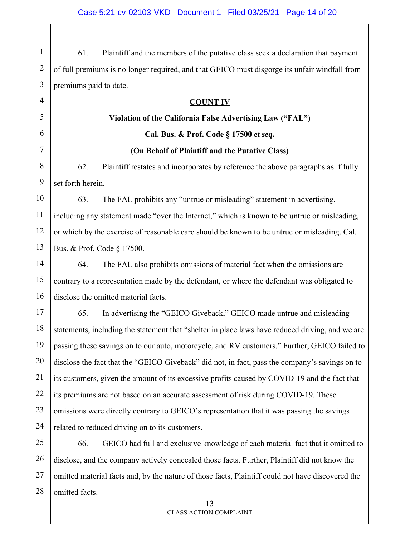1 2 3 61. Plaintiff and the members of the putative class seek a declaration that payment of full premiums is no longer required, and that GEICO must disgorge its unfair windfall from premiums paid to date.

4 5 6 7 8 9 10 11 12 13 14 15 16 17 18 19 20 21 22 23 24 25 **COUNT IV Violation of the California False Advertising Law ("FAL") Cal. Bus. & Prof. Code § 17500** *et seq***. (On Behalf of Plaintiff and the Putative Class)**  62. Plaintiff restates and incorporates by reference the above paragraphs as if fully set forth herein. 63. The FAL prohibits any "untrue or misleading" statement in advertising, including any statement made "over the Internet," which is known to be untrue or misleading, or which by the exercise of reasonable care should be known to be untrue or misleading. Cal. Bus. & Prof. Code § 17500. 64. The FAL also prohibits omissions of material fact when the omissions are contrary to a representation made by the defendant, or where the defendant was obligated to disclose the omitted material facts. 65. In advertising the "GEICO Giveback," GEICO made untrue and misleading statements, including the statement that "shelter in place laws have reduced driving, and we are passing these savings on to our auto, motorcycle, and RV customers." Further, GEICO failed to disclose the fact that the "GEICO Giveback" did not, in fact, pass the company's savings on to its customers, given the amount of its excessive profits caused by COVID-19 and the fact that its premiums are not based on an accurate assessment of risk during COVID-19. These omissions were directly contrary to GEICO's representation that it was passing the savings related to reduced driving on to its customers. 66. GEICO had full and exclusive knowledge of each material fact that it omitted to

26 27 28 disclose, and the company actively concealed those facts. Further, Plaintiff did not know the omitted material facts and, by the nature of those facts, Plaintiff could not have discovered the omitted facts.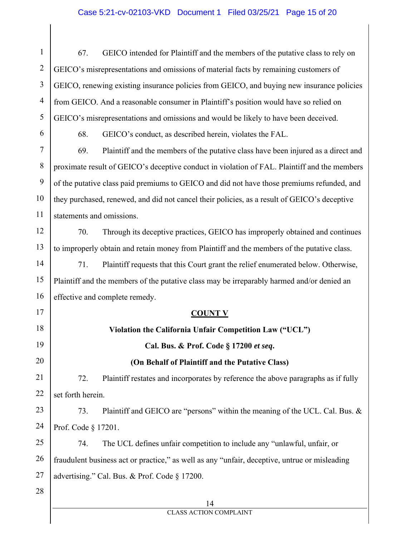| $\mathbf{1}$   | GEICO intended for Plaintiff and the members of the putative class to rely on<br>67.          |  |  |  |  |  |  |
|----------------|-----------------------------------------------------------------------------------------------|--|--|--|--|--|--|
| $\overline{2}$ | GEICO's misrepresentations and omissions of material facts by remaining customers of          |  |  |  |  |  |  |
| 3              | GEICO, renewing existing insurance policies from GEICO, and buying new insurance policies     |  |  |  |  |  |  |
| $\overline{4}$ | from GEICO. And a reasonable consumer in Plaintiff's position would have so relied on         |  |  |  |  |  |  |
| 5              | GEICO's misrepresentations and omissions and would be likely to have been deceived.           |  |  |  |  |  |  |
| 6              | GEICO's conduct, as described herein, violates the FAL.<br>68.                                |  |  |  |  |  |  |
| $\tau$         | Plaintiff and the members of the putative class have been injured as a direct and<br>69.      |  |  |  |  |  |  |
| $8\,$          | proximate result of GEICO's deceptive conduct in violation of FAL. Plaintiff and the members  |  |  |  |  |  |  |
| 9              | of the putative class paid premiums to GEICO and did not have those premiums refunded, and    |  |  |  |  |  |  |
| 10             | they purchased, renewed, and did not cancel their policies, as a result of GEICO's deceptive  |  |  |  |  |  |  |
| 11             | statements and omissions.                                                                     |  |  |  |  |  |  |
| 12             | Through its deceptive practices, GEICO has improperly obtained and continues<br>70.           |  |  |  |  |  |  |
| 13             | to improperly obtain and retain money from Plaintiff and the members of the putative class.   |  |  |  |  |  |  |
| 14             | Plaintiff requests that this Court grant the relief enumerated below. Otherwise,<br>71.       |  |  |  |  |  |  |
| 15             | Plaintiff and the members of the putative class may be irreparably harmed and/or denied an    |  |  |  |  |  |  |
| 16             | effective and complete remedy.                                                                |  |  |  |  |  |  |
| 17             | <b>COUNT V</b>                                                                                |  |  |  |  |  |  |
| 18             | Violation the California Unfair Competition Law ("UCL")                                       |  |  |  |  |  |  |
| 19             | Cal. Bus. & Prof. Code § 17200 et seq.                                                        |  |  |  |  |  |  |
| 20             | (On Behalf of Plaintiff and the Putative Class)                                               |  |  |  |  |  |  |
| 21             | 72.<br>Plaintiff restates and incorporates by reference the above paragraphs as if fully      |  |  |  |  |  |  |
| 22             | set forth herein.                                                                             |  |  |  |  |  |  |
| 23             | Plaintiff and GEICO are "persons" within the meaning of the UCL. Cal. Bus. &<br>73.           |  |  |  |  |  |  |
| 24             | Prof. Code § 17201.                                                                           |  |  |  |  |  |  |
| 25             | The UCL defines unfair competition to include any "unlawful, unfair, or<br>74.                |  |  |  |  |  |  |
| 26             | fraudulent business act or practice," as well as any "unfair, deceptive, untrue or misleading |  |  |  |  |  |  |
| 27             | advertising." Cal. Bus. & Prof. Code § 17200.                                                 |  |  |  |  |  |  |
| 28             |                                                                                               |  |  |  |  |  |  |
|                | 14<br><b>CLASS ACTION COMPLAINT</b>                                                           |  |  |  |  |  |  |
|                |                                                                                               |  |  |  |  |  |  |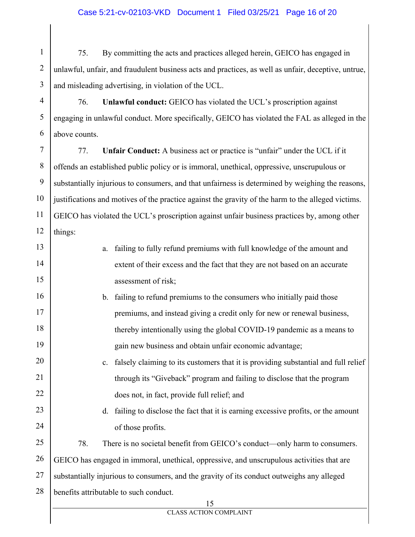### Case 5:21-cv-02103-VKD Document 1 Filed 03/25/21 Page 16 of 20

1 2 3 75. By committing the acts and practices alleged herein, GEICO has engaged in unlawful, unfair, and fraudulent business acts and practices, as well as unfair, deceptive, untrue, and misleading advertising, in violation of the UCL.

4 5 6 76. **Unlawful conduct:** GEICO has violated the UCL's proscription against engaging in unlawful conduct. More specifically, GEICO has violated the FAL as alleged in the above counts.

7 8 9 10 11 12 77. **Unfair Conduct:** A business act or practice is "unfair" under the UCL if it offends an established public policy or is immoral, unethical, oppressive, unscrupulous or substantially injurious to consumers, and that unfairness is determined by weighing the reasons, justifications and motives of the practice against the gravity of the harm to the alleged victims. GEICO has violated the UCL's proscription against unfair business practices by, among other things:

| 13 | a.  | failing to fully refund premiums with full knowledge of the amount and                     |
|----|-----|--------------------------------------------------------------------------------------------|
| 14 |     | extent of their excess and the fact that they are not based on an accurate                 |
| 15 |     | assessment of risk;                                                                        |
| 16 |     | b. failing to refund premiums to the consumers who initially paid those                    |
| 17 |     | premiums, and instead giving a credit only for new or renewal business,                    |
| 18 |     | thereby intentionally using the global COVID-19 pandemic as a means to                     |
| 19 |     | gain new business and obtain unfair economic advantage;                                    |
| 20 | c.  | falsely claiming to its customers that it is providing substantial and full relief         |
| 21 |     | through its "Giveback" program and failing to disclose that the program                    |
| 22 |     | does not, in fact, provide full relief; and                                                |
| 23 | d.  | failing to disclose the fact that it is earning excessive profits, or the amount           |
| 24 |     | of those profits.                                                                          |
| 25 | 78. | There is no societal benefit from GEICO's conduct—only harm to consumers.                  |
| 26 |     | GEICO has engaged in immoral, unethical, oppressive, and unscrupulous activities that are  |
| 27 |     | substantially injurious to consumers, and the gravity of its conduct outweighs any alleged |
| 28 |     | benefits attributable to such conduct.                                                     |
|    |     | 15                                                                                         |
|    |     | <b>CLASS ACTION COMPLAINT</b>                                                              |
|    |     |                                                                                            |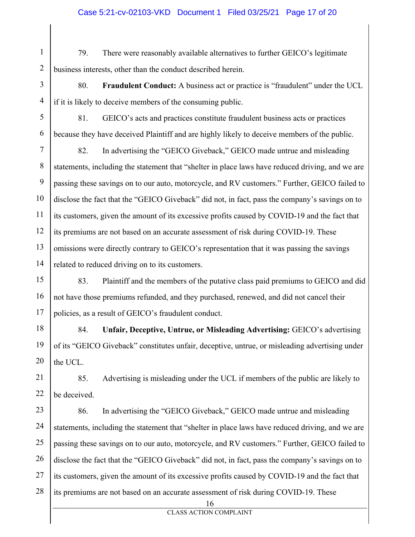### Case 5:21-cv-02103-VKD Document 1 Filed 03/25/21 Page 17 of 20

1 2 79. There were reasonably available alternatives to further GEICO's legitimate business interests, other than the conduct described herein.

3 4 80. **Fraudulent Conduct:** A business act or practice is "fraudulent" under the UCL if it is likely to deceive members of the consuming public.

5 6 81. GEICO's acts and practices constitute fraudulent business acts or practices because they have deceived Plaintiff and are highly likely to deceive members of the public.

7 8 9 10 11 12 13 14 82. In advertising the "GEICO Giveback," GEICO made untrue and misleading statements, including the statement that "shelter in place laws have reduced driving, and we are passing these savings on to our auto, motorcycle, and RV customers." Further, GEICO failed to disclose the fact that the "GEICO Giveback" did not, in fact, pass the company's savings on to its customers, given the amount of its excessive profits caused by COVID-19 and the fact that its premiums are not based on an accurate assessment of risk during COVID-19. These omissions were directly contrary to GEICO's representation that it was passing the savings related to reduced driving on to its customers.

15 16 17 83. Plaintiff and the members of the putative class paid premiums to GEICO and did not have those premiums refunded, and they purchased, renewed, and did not cancel their policies, as a result of GEICO's fraudulent conduct.

18 19 20 84. **Unfair, Deceptive, Untrue, or Misleading Advertising:** GEICO's advertising of its "GEICO Giveback" constitutes unfair, deceptive, untrue, or misleading advertising under the UCL.

21 22 85. Advertising is misleading under the UCL if members of the public are likely to be deceived.

23 24 25 26 27 28 86. In advertising the "GEICO Giveback," GEICO made untrue and misleading statements, including the statement that "shelter in place laws have reduced driving, and we are passing these savings on to our auto, motorcycle, and RV customers." Further, GEICO failed to disclose the fact that the "GEICO Giveback" did not, in fact, pass the company's savings on to its customers, given the amount of its excessive profits caused by COVID-19 and the fact that its premiums are not based on an accurate assessment of risk during COVID-19. These

16

CLASS ACTION COMPLAINT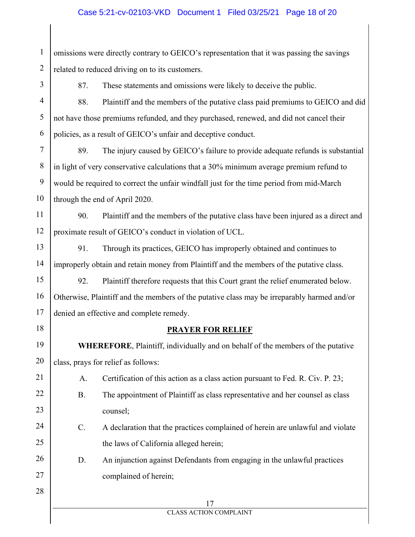1 2 omissions were directly contrary to GEICO's representation that it was passing the savings related to reduced driving on to its customers.

3

87. These statements and omissions were likely to deceive the public.

4 5 6 88. Plaintiff and the members of the putative class paid premiums to GEICO and did not have those premiums refunded, and they purchased, renewed, and did not cancel their policies, as a result of GEICO's unfair and deceptive conduct.

7 8 9 10 89. The injury caused by GEICO's failure to provide adequate refunds is substantial in light of very conservative calculations that a 30% minimum average premium refund to would be required to correct the unfair windfall just for the time period from mid-March through the end of April 2020.

11 12 90. Plaintiff and the members of the putative class have been injured as a direct and proximate result of GEICO's conduct in violation of UCL.

13 14 91. Through its practices, GEICO has improperly obtained and continues to improperly obtain and retain money from Plaintiff and the members of the putative class.

15 16 17 92. Plaintiff therefore requests that this Court grant the relief enumerated below. Otherwise, Plaintiff and the members of the putative class may be irreparably harmed and/or denied an effective and complete remedy.

18

28

### **PRAYER FOR RELIEF**

19 20 **WHEREFORE**, Plaintiff, individually and on behalf of the members of the putative class, prays for relief as follows:

21 A. Certification of this action as a class action pursuant to Fed. R. Civ. P. 23;

- 22 23 B. The appointment of Plaintiff as class representative and her counsel as class counsel;
- 24 25 C. A declaration that the practices complained of herein are unlawful and violate the laws of California alleged herein;
- 26 27 D. An injunction against Defendants from engaging in the unlawful practices complained of herein;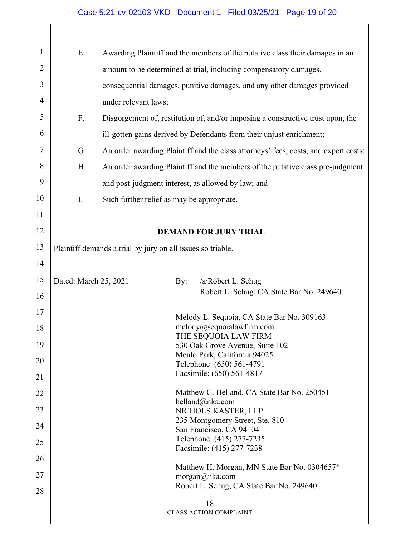# Case 5:21-cv-02103-VKD Document 1 Filed 03/25/21 Page 19 of 20

| $\mathbf{1}$<br>Ε.<br>Awarding Plaintiff and the members of the putative class their damages in an<br>$\overline{2}$<br>amount to be determined at trial, including compensatory damages,<br>3<br>consequential damages, punitive damages, and any other damages provided<br>$\overline{4}$<br>under relevant laws;<br>5<br>F.<br>Disgorgement of, restitution of, and/or imposing a constructive trust upon, the<br>6<br>ill-gotten gains derived by Defendants from their unjust enrichment;<br>7<br>An order awarding Plaintiff and the class attorneys' fees, costs, and expert costs;<br>G.<br>8<br>H.<br>An order awarding Plaintiff and the members of the putative class pre-judgment<br>9<br>and post-judgment interest, as allowed by law; and<br>10<br>I.<br>Such further relief as may be appropriate.<br>11<br>12<br><b>DEMAND FOR JURY TRIAL</b><br>13<br>Plaintiff demands a trial by jury on all issues so triable.<br>14<br>15<br>Dated: March 25, 2021<br>By:<br>/s/Robert L. Schug<br>Robert L. Schug, CA State Bar No. 249640<br>16<br>17<br>Melody L. Sequoia, CA State Bar No. 309163<br>melody@sequoialawfirm.com<br>18<br>THE SEQUOIA LAW FIRM<br>19<br>530 Oak Grove Avenue, Suite 102<br>Menlo Park, California 94025<br>20<br>Telephone: (650) 561-4791<br>Facsimile: (650) 561-4817<br>21<br>Matthew C. Helland, CA State Bar No. 250451<br>22<br>helland@nka.com<br>23<br>NICHOLS KASTER, LLP<br>235 Montgomery Street, Ste. 810<br>24<br>San Francisco, CA 94104<br>Telephone: (415) 277-7235<br>25<br>Facsimile: (415) 277-7238<br>26<br>Matthew H. Morgan, MN State Bar No. 0304657*<br>27<br>morgan@nka.com<br>Robert L. Schug, CA State Bar No. 249640<br>28<br>18 |  |  |  |  |  |  |  |
|------------------------------------------------------------------------------------------------------------------------------------------------------------------------------------------------------------------------------------------------------------------------------------------------------------------------------------------------------------------------------------------------------------------------------------------------------------------------------------------------------------------------------------------------------------------------------------------------------------------------------------------------------------------------------------------------------------------------------------------------------------------------------------------------------------------------------------------------------------------------------------------------------------------------------------------------------------------------------------------------------------------------------------------------------------------------------------------------------------------------------------------------------------------------------------------------------------------------------------------------------------------------------------------------------------------------------------------------------------------------------------------------------------------------------------------------------------------------------------------------------------------------------------------------------------------------------------------------------------------------------------------------------------------------------------------------------|--|--|--|--|--|--|--|
|                                                                                                                                                                                                                                                                                                                                                                                                                                                                                                                                                                                                                                                                                                                                                                                                                                                                                                                                                                                                                                                                                                                                                                                                                                                                                                                                                                                                                                                                                                                                                                                                                                                                                                      |  |  |  |  |  |  |  |
|                                                                                                                                                                                                                                                                                                                                                                                                                                                                                                                                                                                                                                                                                                                                                                                                                                                                                                                                                                                                                                                                                                                                                                                                                                                                                                                                                                                                                                                                                                                                                                                                                                                                                                      |  |  |  |  |  |  |  |
|                                                                                                                                                                                                                                                                                                                                                                                                                                                                                                                                                                                                                                                                                                                                                                                                                                                                                                                                                                                                                                                                                                                                                                                                                                                                                                                                                                                                                                                                                                                                                                                                                                                                                                      |  |  |  |  |  |  |  |
|                                                                                                                                                                                                                                                                                                                                                                                                                                                                                                                                                                                                                                                                                                                                                                                                                                                                                                                                                                                                                                                                                                                                                                                                                                                                                                                                                                                                                                                                                                                                                                                                                                                                                                      |  |  |  |  |  |  |  |
|                                                                                                                                                                                                                                                                                                                                                                                                                                                                                                                                                                                                                                                                                                                                                                                                                                                                                                                                                                                                                                                                                                                                                                                                                                                                                                                                                                                                                                                                                                                                                                                                                                                                                                      |  |  |  |  |  |  |  |
|                                                                                                                                                                                                                                                                                                                                                                                                                                                                                                                                                                                                                                                                                                                                                                                                                                                                                                                                                                                                                                                                                                                                                                                                                                                                                                                                                                                                                                                                                                                                                                                                                                                                                                      |  |  |  |  |  |  |  |
|                                                                                                                                                                                                                                                                                                                                                                                                                                                                                                                                                                                                                                                                                                                                                                                                                                                                                                                                                                                                                                                                                                                                                                                                                                                                                                                                                                                                                                                                                                                                                                                                                                                                                                      |  |  |  |  |  |  |  |
|                                                                                                                                                                                                                                                                                                                                                                                                                                                                                                                                                                                                                                                                                                                                                                                                                                                                                                                                                                                                                                                                                                                                                                                                                                                                                                                                                                                                                                                                                                                                                                                                                                                                                                      |  |  |  |  |  |  |  |
|                                                                                                                                                                                                                                                                                                                                                                                                                                                                                                                                                                                                                                                                                                                                                                                                                                                                                                                                                                                                                                                                                                                                                                                                                                                                                                                                                                                                                                                                                                                                                                                                                                                                                                      |  |  |  |  |  |  |  |
|                                                                                                                                                                                                                                                                                                                                                                                                                                                                                                                                                                                                                                                                                                                                                                                                                                                                                                                                                                                                                                                                                                                                                                                                                                                                                                                                                                                                                                                                                                                                                                                                                                                                                                      |  |  |  |  |  |  |  |
|                                                                                                                                                                                                                                                                                                                                                                                                                                                                                                                                                                                                                                                                                                                                                                                                                                                                                                                                                                                                                                                                                                                                                                                                                                                                                                                                                                                                                                                                                                                                                                                                                                                                                                      |  |  |  |  |  |  |  |
|                                                                                                                                                                                                                                                                                                                                                                                                                                                                                                                                                                                                                                                                                                                                                                                                                                                                                                                                                                                                                                                                                                                                                                                                                                                                                                                                                                                                                                                                                                                                                                                                                                                                                                      |  |  |  |  |  |  |  |
|                                                                                                                                                                                                                                                                                                                                                                                                                                                                                                                                                                                                                                                                                                                                                                                                                                                                                                                                                                                                                                                                                                                                                                                                                                                                                                                                                                                                                                                                                                                                                                                                                                                                                                      |  |  |  |  |  |  |  |
|                                                                                                                                                                                                                                                                                                                                                                                                                                                                                                                                                                                                                                                                                                                                                                                                                                                                                                                                                                                                                                                                                                                                                                                                                                                                                                                                                                                                                                                                                                                                                                                                                                                                                                      |  |  |  |  |  |  |  |
|                                                                                                                                                                                                                                                                                                                                                                                                                                                                                                                                                                                                                                                                                                                                                                                                                                                                                                                                                                                                                                                                                                                                                                                                                                                                                                                                                                                                                                                                                                                                                                                                                                                                                                      |  |  |  |  |  |  |  |
|                                                                                                                                                                                                                                                                                                                                                                                                                                                                                                                                                                                                                                                                                                                                                                                                                                                                                                                                                                                                                                                                                                                                                                                                                                                                                                                                                                                                                                                                                                                                                                                                                                                                                                      |  |  |  |  |  |  |  |
|                                                                                                                                                                                                                                                                                                                                                                                                                                                                                                                                                                                                                                                                                                                                                                                                                                                                                                                                                                                                                                                                                                                                                                                                                                                                                                                                                                                                                                                                                                                                                                                                                                                                                                      |  |  |  |  |  |  |  |
|                                                                                                                                                                                                                                                                                                                                                                                                                                                                                                                                                                                                                                                                                                                                                                                                                                                                                                                                                                                                                                                                                                                                                                                                                                                                                                                                                                                                                                                                                                                                                                                                                                                                                                      |  |  |  |  |  |  |  |
|                                                                                                                                                                                                                                                                                                                                                                                                                                                                                                                                                                                                                                                                                                                                                                                                                                                                                                                                                                                                                                                                                                                                                                                                                                                                                                                                                                                                                                                                                                                                                                                                                                                                                                      |  |  |  |  |  |  |  |
|                                                                                                                                                                                                                                                                                                                                                                                                                                                                                                                                                                                                                                                                                                                                                                                                                                                                                                                                                                                                                                                                                                                                                                                                                                                                                                                                                                                                                                                                                                                                                                                                                                                                                                      |  |  |  |  |  |  |  |
|                                                                                                                                                                                                                                                                                                                                                                                                                                                                                                                                                                                                                                                                                                                                                                                                                                                                                                                                                                                                                                                                                                                                                                                                                                                                                                                                                                                                                                                                                                                                                                                                                                                                                                      |  |  |  |  |  |  |  |
|                                                                                                                                                                                                                                                                                                                                                                                                                                                                                                                                                                                                                                                                                                                                                                                                                                                                                                                                                                                                                                                                                                                                                                                                                                                                                                                                                                                                                                                                                                                                                                                                                                                                                                      |  |  |  |  |  |  |  |
|                                                                                                                                                                                                                                                                                                                                                                                                                                                                                                                                                                                                                                                                                                                                                                                                                                                                                                                                                                                                                                                                                                                                                                                                                                                                                                                                                                                                                                                                                                                                                                                                                                                                                                      |  |  |  |  |  |  |  |
|                                                                                                                                                                                                                                                                                                                                                                                                                                                                                                                                                                                                                                                                                                                                                                                                                                                                                                                                                                                                                                                                                                                                                                                                                                                                                                                                                                                                                                                                                                                                                                                                                                                                                                      |  |  |  |  |  |  |  |
|                                                                                                                                                                                                                                                                                                                                                                                                                                                                                                                                                                                                                                                                                                                                                                                                                                                                                                                                                                                                                                                                                                                                                                                                                                                                                                                                                                                                                                                                                                                                                                                                                                                                                                      |  |  |  |  |  |  |  |
|                                                                                                                                                                                                                                                                                                                                                                                                                                                                                                                                                                                                                                                                                                                                                                                                                                                                                                                                                                                                                                                                                                                                                                                                                                                                                                                                                                                                                                                                                                                                                                                                                                                                                                      |  |  |  |  |  |  |  |
|                                                                                                                                                                                                                                                                                                                                                                                                                                                                                                                                                                                                                                                                                                                                                                                                                                                                                                                                                                                                                                                                                                                                                                                                                                                                                                                                                                                                                                                                                                                                                                                                                                                                                                      |  |  |  |  |  |  |  |
|                                                                                                                                                                                                                                                                                                                                                                                                                                                                                                                                                                                                                                                                                                                                                                                                                                                                                                                                                                                                                                                                                                                                                                                                                                                                                                                                                                                                                                                                                                                                                                                                                                                                                                      |  |  |  |  |  |  |  |
| <b>CLASS ACTION COMPLAINT</b>                                                                                                                                                                                                                                                                                                                                                                                                                                                                                                                                                                                                                                                                                                                                                                                                                                                                                                                                                                                                                                                                                                                                                                                                                                                                                                                                                                                                                                                                                                                                                                                                                                                                        |  |  |  |  |  |  |  |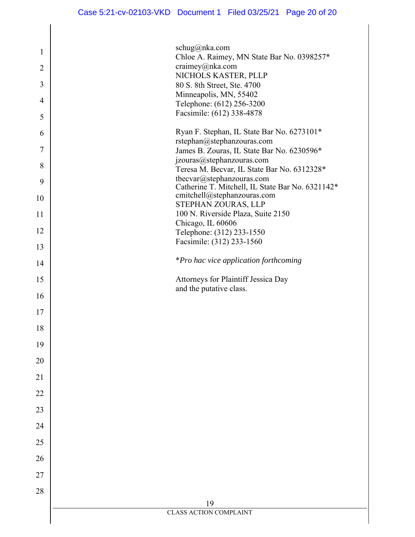| 1              | schug@nka.com                                                                 |
|----------------|-------------------------------------------------------------------------------|
| $\overline{2}$ | Chloe A. Raimey, MN State Bar No. 0398257*<br>craimey@nka.com                 |
| 3              | NICHOLS KASTER, PLLP                                                          |
|                | 80 S. 8th Street, Ste. 4700<br>Minneapolis, MN, 55402                         |
| $\overline{4}$ | Telephone: (612) 256-3200<br>Facsimile: (612) 338-4878                        |
| 5              |                                                                               |
| 6              | Ryan F. Stephan, IL State Bar No. 6273101*<br>rstephan@stephanzouras.com      |
| 7              | James B. Zouras, IL State Bar No. 6230596*                                    |
| 8              | jzouras@stephanzouras.com<br>Teresa M. Becvar, IL State Bar No. 6312328*      |
| 9              | tbecvar@stephanzouras.com<br>Catherine T. Mitchell, IL State Bar No. 6321142* |
| 10             | cmitchell@stephanzouras.com                                                   |
| 11             | STEPHAN ZOURAS, LLP<br>100 N. Riverside Plaza, Suite 2150                     |
| 12             | Chicago, IL 60606<br>Telephone: (312) 233-1550                                |
| 13             | Facsimile: (312) 233-1560                                                     |
| 14             | <i>*Pro hac vice application forthcoming</i>                                  |
| 15             | Attorneys for Plaintiff Jessica Day                                           |
| 16             | and the putative class.                                                       |
| 17             |                                                                               |
| 18             |                                                                               |
| 19             |                                                                               |
| 20             |                                                                               |
| 21             |                                                                               |
| 22             |                                                                               |
| 23             |                                                                               |
| 24             |                                                                               |
| 25             |                                                                               |
| 26             |                                                                               |
| 27             |                                                                               |
| 28             |                                                                               |
|                | 19                                                                            |
|                | <b>CLASS ACTION COMPLAINT</b>                                                 |